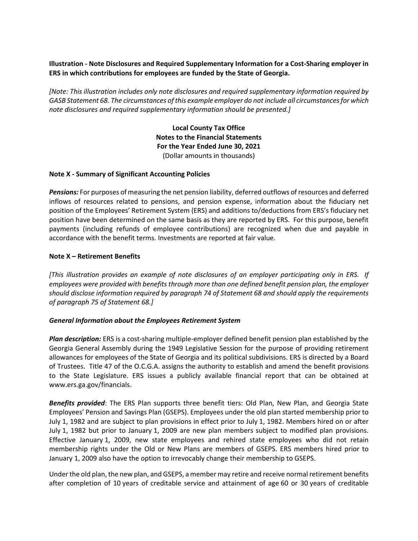# **Illustration - Note Disclosures and Required Supplementary Information for a Cost-Sharing employer in ERS in which contributions for employees are funded by the State of Georgia.**

*[Note: This illustration includes only note disclosures and required supplementary information required by GASB Statement 68. The circumstances of this example employer do not include all circumstances for which note disclosures and required supplementary information should be presented.]*

> **Local County Tax Office Notes to the Financial Statements For the Year Ended June 30, 2021** (Dollar amounts in thousands)

### **Note X - Summary of Significant Accounting Policies**

*Pensions:* For purposes of measuring the net pension liability, deferred outflows of resources and deferred inflows of resources related to pensions, and pension expense, information about the fiduciary net position of the Employees' Retirement System (ERS) and additions to/deductions from ERS's fiduciary net position have been determined on the same basis as they are reported by ERS. For this purpose, benefit payments (including refunds of employee contributions) are recognized when due and payable in accordance with the benefit terms. Investments are reported at fair value.

### **Note X – Retirement Benefits**

*[This illustration provides an example of note disclosures of an employer participating only in ERS. If employees were provided with benefits through more than one defined benefit pension plan, the employer should disclose information required by paragraph 74 of Statement 68 and should apply the requirements of paragraph 75 of Statement 68.]*

### *General Information about the Employees Retirement System*

*Plan description:* ERS is a cost-sharing multiple-employer defined benefit pension plan established by the Georgia General Assembly during the 1949 Legislative Session for the purpose of providing retirement allowances for employees of the State of Georgia and its political subdivisions. ERS is directed by a Board of Trustees. Title 47 of the O.C.G.A. assigns the authority to establish and amend the benefit provisions to the State Legislature. ERS issues a publicly available financial report that can be obtained at www.ers.ga.gov/financials.

*Benefits provided*: The ERS Plan supports three benefit tiers: Old Plan, New Plan, and Georgia State Employees' Pension and Savings Plan (GSEPS). Employees under the old plan started membership prior to July 1, 1982 and are subject to plan provisions in effect prior to July 1, 1982. Members hired on or after July 1, 1982 but prior to January 1, 2009 are new plan members subject to modified plan provisions. Effective January 1, 2009, new state employees and rehired state employees who did not retain membership rights under the Old or New Plans are members of GSEPS. ERS members hired prior to January 1, 2009 also have the option to irrevocably change their membership to GSEPS.

Under the old plan, the new plan, and GSEPS, a member may retire and receive normal retirement benefits after completion of 10 years of creditable service and attainment of age 60 or 30 years of creditable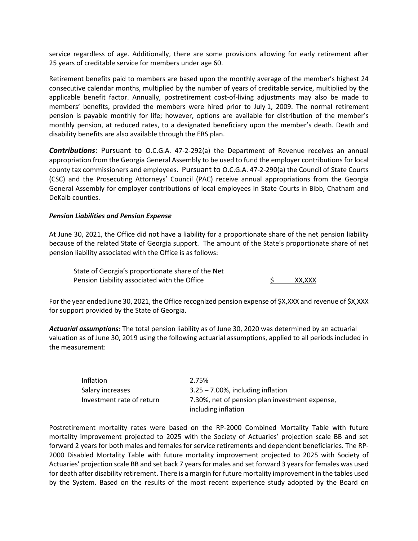service regardless of age. Additionally, there are some provisions allowing for early retirement after 25 years of creditable service for members under age 60.

Retirement benefits paid to members are based upon the monthly average of the member's highest 24 consecutive calendar months, multiplied by the number of years of creditable service, multiplied by the applicable benefit factor. Annually, postretirement cost-of-living adjustments may also be made to members' benefits, provided the members were hired prior to July 1, 2009. The normal retirement pension is payable monthly for life; however, options are available for distribution of the member's monthly pension, at reduced rates, to a designated beneficiary upon the member's death. Death and disability benefits are also available through the ERS plan.

*Contributions*: Pursuant to O.C.G.A. 47-2-292(a) the Department of Revenue receives an annual appropriation from the Georgia General Assembly to be used to fund the employer contributions for local county tax commissioners and employees. Pursuant to O.C.G.A. 47-2-290(a) the Council of State Courts (CSC) and the Prosecuting Attorneys' Council (PAC) receive annual appropriations from the Georgia General Assembly for employer contributions of local employees in State Courts in Bibb, Chatham and DeKalb counties.

### *Pension Liabilities and Pension Expense*

At June 30, 2021, the Office did not have a liability for a proportionate share of the net pension liability because of the related State of Georgia support. The amount of the State's proportionate share of net pension liability associated with the Office is as follows:

State of Georgia's proportionate share of the Net Pension Liability associated with the Office  $\frac{1}{2}$  XX,XXX

For the year ended June 30, 2021, the Office recognized pension expense of \$X,XXX and revenue of \$X,XXX for support provided by the State of Georgia.

*Actuarial assumptions:* The total pension liability as of June 30, 2020 was determined by an actuarial valuation as of June 30, 2019 using the following actuarial assumptions, applied to all periods included in the measurement:

| Inflation                 | 2.75%                                          |
|---------------------------|------------------------------------------------|
| Salary increases          | $3.25 - 7.00\%$ , including inflation          |
| Investment rate of return | 7.30%, net of pension plan investment expense, |
|                           | including inflation                            |

Postretirement mortality rates were based on the RP-2000 Combined Mortality Table with future mortality improvement projected to 2025 with the Society of Actuaries' projection scale BB and set forward 2 years for both males and females for service retirements and dependent beneficiaries. The RP-2000 Disabled Mortality Table with future mortality improvement projected to 2025 with Society of Actuaries' projection scale BB and set back 7 years for males and set forward 3 years for females was used for death after disability retirement. There is a margin for future mortality improvement in the tables used by the System. Based on the results of the most recent experience study adopted by the Board on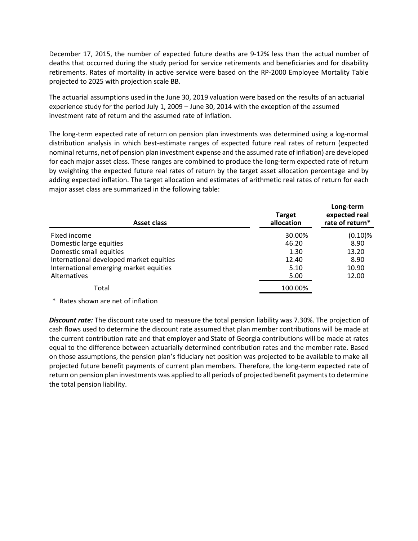December 17, 2015, the number of expected future deaths are 9-12% less than the actual number of deaths that occurred during the study period for service retirements and beneficiaries and for disability retirements. Rates of mortality in active service were based on the RP-2000 Employee Mortality Table projected to 2025 with projection scale BB.

The actuarial assumptions used in the June 30, 2019 valuation were based on the results of an actuarial experience study for the period July 1, 2009 – June 30, 2014 with the exception of the assumed investment rate of return and the assumed rate of inflation.

The long-term expected rate of return on pension plan investments was determined using a log-normal distribution analysis in which best-estimate ranges of expected future real rates of return (expected nominal returns, net of pension plan investment expense and the assumed rate of inflation) are developed for each major asset class. These ranges are combined to produce the long-term expected rate of return by weighting the expected future real rates of return by the target asset allocation percentage and by adding expected inflation. The target allocation and estimates of arithmetic real rates of return for each major asset class are summarized in the following table:

| Asset class                             | <b>Target</b><br>allocation | Long-term<br>expected real<br>rate of return* |
|-----------------------------------------|-----------------------------|-----------------------------------------------|
| Fixed income                            | 30.00%                      | $(0.10)$ %                                    |
| Domestic large equities                 | 46.20                       | 8.90                                          |
| Domestic small equities                 | 1.30                        | 13.20                                         |
| International developed market equities | 12.40                       | 8.90                                          |
| International emerging market equities  | 5.10                        | 10.90                                         |
| Alternatives                            | 5.00                        | 12.00                                         |
| Total                                   | 100.00%                     |                                               |

### \* Rates shown are net of inflation

*Discount rate:* The discount rate used to measure the total pension liability was 7.30%. The projection of cash flows used to determine the discount rate assumed that plan member contributions will be made at the current contribution rate and that employer and State of Georgia contributions will be made at rates equal to the difference between actuarially determined contribution rates and the member rate. Based on those assumptions, the pension plan's fiduciary net position was projected to be available to make all projected future benefit payments of current plan members. Therefore, the long-term expected rate of return on pension plan investments was applied to all periods of projected benefit payments to determine the total pension liability.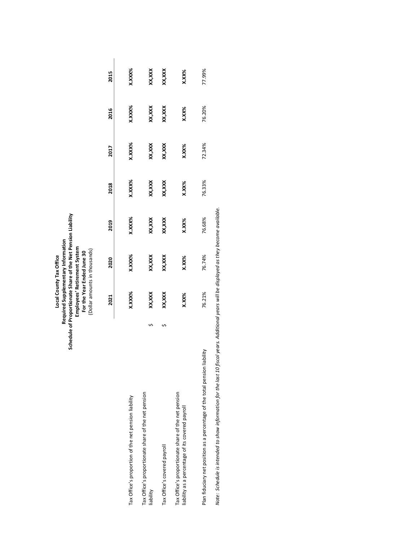Local County Tax Office<br>Required Supplementary Information<br>Schedule of Proportionate Share of the Net Pension Liability<br>For the Year Ended June 30<br>For the Year Ended June 30<br>(Dollar amounts in thousands) **Schedule of Proportionate Share of the Net Pension Liability Required Supplementary Information Employees' Retirement System** (Dollar amounts in thousands) **For the Year Ended June 30 Local County Tax Office**

|                                                                                                         | 2021   | 2020   | 2019    | 2018    | 2017    | 2016   | 2015   |
|---------------------------------------------------------------------------------------------------------|--------|--------|---------|---------|---------|--------|--------|
| Tax Office's proportion of the net pension liability                                                    | X.XXX% | X.XXX% | K.XXX%  | X.XXX%  | X.XXX%  | X.XXX% | X.XXX% |
| Tax Office's proportionate share of the net pension<br>liability                                        | XX,XXX | xxx,xx | xxx,xxx | XX, XXX | XX, XXX | xxx,xx | xxx,xx |
| Tax Office's covered payroll                                                                            | XX,XXX | xxx,xx | xxx,xxx | xxx,xxx | XX, XXX | XX,XXX | XX,XXX |
| Tax Office's proportionate share of the net pension<br>liability as a percentage of its covered payroll | X.XX%  | X.XX%  | X.XX%   | X.XX%   | X.XX%   | X.XX%  | X.XX%  |
| Nilipi<br>Plan fiduciary net position as a percentage of the total pension lia                          | 76.21% | 76.74% | 76.68%  | 76.33%  | 72.34%  | 76.20% | 77.99% |

Note: Schedule is intended to show information for the last 10 fiscal years. Additional years will be displayed as they become available. *Note: Schedule is intended to show information for the last 10 fiscal years. Additional years will be displayed as they become available.*